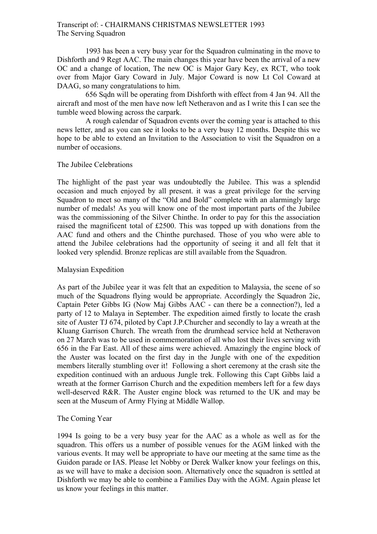## Transcript of: - CHAIRMANS CHRISTMAS NEWSLETTER 1993 The Serving Squadron

1993 has been a very busy year for the Squadron culminating in the move to Dishforth and 9 Regt AAC. The main changes this year have been the arrival of a new OC and a change of location, The new OC is Major Gary Key, ex RCT, who took over from Major Gary Coward in July. Major Coward is now Lt Col Coward at DAAG, so many congratulations to him.

656 Sqdn will be operating from Dishforth with effect from 4 Jan 94. All the aircraft and most of the men have now left Netheravon and as I write this I can see the tumble weed blowing across the carpark.

A rough calendar of Squadron events over the coming year is attached to this news letter, and as you can see it looks to be a very busy 12 months. Despite this we hope to be able to extend an Invitation to the Association to visit the Squadron on a number of occasions.

## The Jubilee Celebrations

The highlight of the past year was undoubtedly the Jubilee. This was a splendid occasion and much enjoyed by all present. it was a great privilege for the serving Squadron to meet so many of the "Old and Bold" complete with an alarmingly large number of medals! As you will know one of the most important parts of the Jubilee was the commissioning of the Silver Chinthe. In order to pay for this the association raised the magnificent total of £2500. This was topped up with donations from the AAC fund and others and the Chinthe purchased. Those of you who were able to attend the Jubilee celebrations had the opportunity of seeing it and all felt that it looked very splendid. Bronze replicas are still available from the Squadron.

## Malaysian Expedition

As part of the Jubilee year it was felt that an expedition to Malaysia, the scene of so much of the Squadrons flying would be appropriate. Accordingly the Squadron 2ic, Captain Peter Gibbs IG (Now Maj Gibbs AAC - can there be a connection?), led a party of 12 to Malaya in September. The expedition aimed firstly to locate the crash site of Auster TJ 674, piloted by Capt J.P.Churcher and secondly to lay a wreath at the Kluang Garrison Church. The wreath from the drumhead service held at Netheravon on 27 March was to be used in commemoration of all who lost their lives serving with 656 in the Far East. All of these aims were achieved. Amazingly the engine block of the Auster was located on the first day in the Jungle with one of the expedition members literally stumbling over it! Following a short ceremony at the crash site the expedition continued with an arduous Jungle trek. Following this Capt Gibbs laid a wreath at the former Garrison Church and the expedition members left for a few days well-deserved R&R. The Auster engine block was returned to the UK and may be seen at the Museum of Army Flying at Middle Wallop.

## The Coming Year

1994 Is going to be a very busy year for the AAC as a whole as well as for the squadron. This offers us a number of possible venues for the AGM linked with the various events. It may well be appropriate to have our meeting at the same time as the Guidon parade or IAS. Please let Nobby or Derek Walker know your feelings on this, as we will have to make a decision soon. Alternatively once the squadron is settled at Dishforth we may be able to combine a Families Day with the AGM. Again please let us know your feelings in this matter.